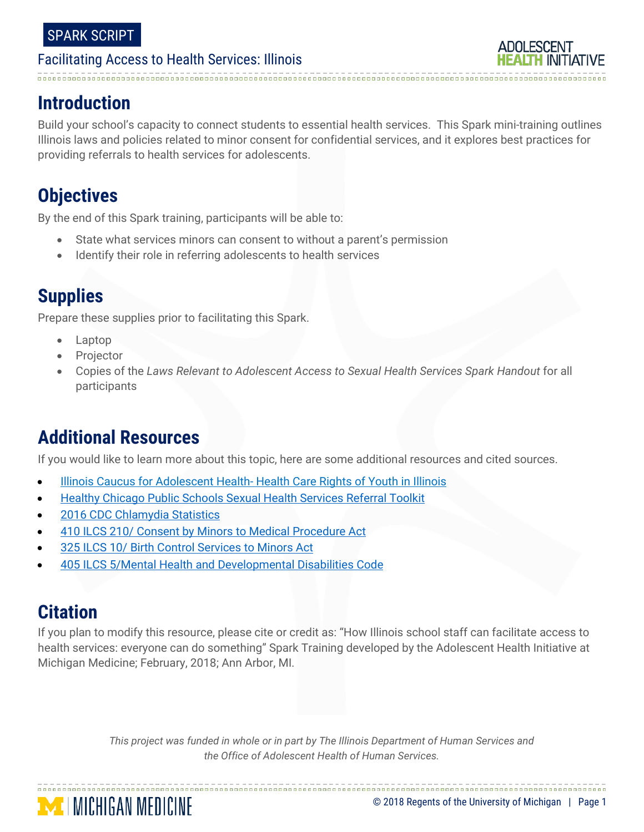## **Introduction**

Build your school's capacity to connect students to essential health services. This Spark mini-training outlines Illinois laws and policies related to minor consent for confidential services, and it explores best practices for providing referrals to health services for adolescents.

# **Objectives**

By the end of this Spark training, participants will be able to:

- State what services minors can consent to without a parent's permission
- Identify their role in referring adolescents to health services

# **Supplies**

Prepare these supplies prior to facilitating this Spark.

- Laptop
- **Projector**
- Copies of the *Laws Relevant to Adolescent Access to Sexual Health Services Spark Handout* for all participants

# **Additional Resources**

If you would like to learn more about this topic, here are some additional resources and cited sources.

- [Illinois Caucus for Adolescent Health-](https://www.icah.org/blog/healthcare-rights-of-youth-in-illinois) Health Care Rights of Youth in Illinois
- [Healthy Chicago Public Schools Sexual Health Services Referral Toolkit](http://www.connectionsforstudentsuccess.org/images/CDCDASH/LEA_Tools/April2017/CPS_SHSToolkit.pdf)
- [2016 CDC Chlamydia Statistics](https://www.cdc.gov/std/stats16/chlamydia.htm)

**MINICHIGAN MEDICINE** 

- [410 ILCS 210/ Consent by Minors to Medical Procedure Act](http://www.ilga.gov/legislation/ilcs/ilcs3.asp?ActID=1539&ChapterID=35)
- [325 ILCS 10/ Birth Control Services to Minors Act](http://www.ilga.gov/legislation/ilcs/ilcs3.asp?ActID=1461&ChapterID=32)
- [405 ILCS 5/Mental Health and Developmental Disabilities Code](http://www.ilga.gov/legislation/ilcs/ilcs5.asp?ActID=1496&ChapterID=34)

## **Citation**

If you plan to modify this resource, please cite or credit as: "How Illinois school staff can facilitate access to health services: everyone can do something" Spark Training developed by the Adolescent Health Initiative at Michigan Medicine; February, 2018; Ann Arbor, MI.

> *This project was funded in whole or in part by The Illinois Department of Human Services and the Office of Adolescent Health of Human Services.*

© 2018 Regents of the University of Michigan | Page 1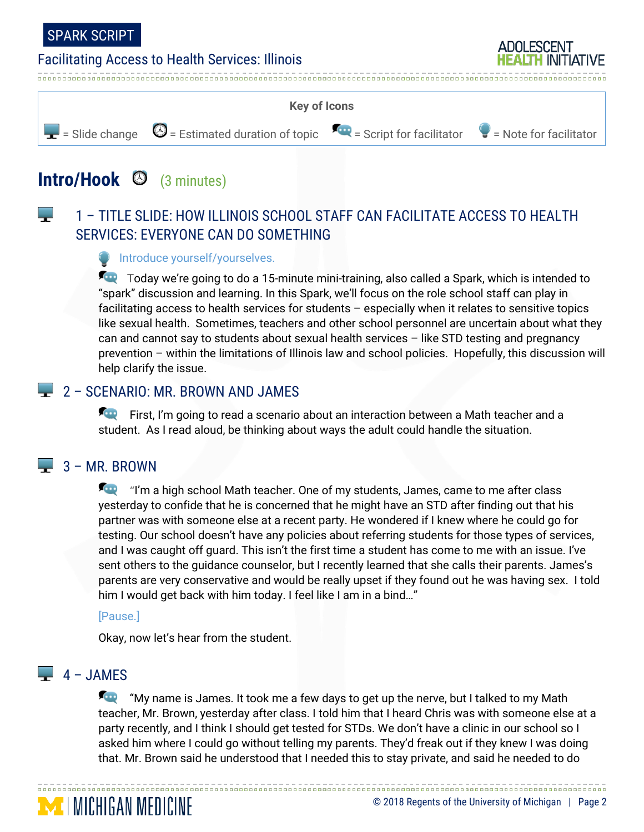

البراء

#### Facilitating Access to Health Services: Illinois



## **Intro/Hook** (3 minutes)

### 1 – TITLE SLIDE: HOW ILLINOIS SCHOOL STAFF CAN FACILITATE ACCESS TO HEALTH SERVICES: EVERYONE CAN DO SOMETHING

#### Introduce yourself/yourselves.

Today we're going to do a 15-minute mini-training, also called a Spark, which is intended to "spark" discussion and learning. In this Spark, we'll focus on the role school staff can play in facilitating access to health services for students – especially when it relates to sensitive topics like sexual health. Sometimes, teachers and other school personnel are uncertain about what they can and cannot say to students about sexual health services – like STD testing and pregnancy prevention – within the limitations of Illinois law and school policies. Hopefully, this discussion will help clarify the issue.

#### **2 – SCENARIO: MR. BROWN AND JAMES**

**First, I'm going to read a scenario about an interaction between a Math teacher and a** student. As I read aloud, be thinking about ways the adult could handle the situation.

#### $\Box$  3 – MR. BROWN

**The** "I'm a high school Math teacher. One of my students, James, came to me after class yesterday to confide that he is concerned that he might have an STD after finding out that his partner was with someone else at a recent party. He wondered if I knew where he could go for testing. Our school doesn't have any policies about referring students for those types of services, and I was caught off guard. This isn't the first time a student has come to me with an issue. I've sent others to the guidance counselor, but I recently learned that she calls their parents. James's parents are very conservative and would be really upset if they found out he was having sex. I told him I would get back with him today. I feel like I am in a bind..."

#### [Pause.]

**MICHIGAN MEDICINE** 

Okay, now let's hear from the student.

## $\Box$  4 – JAMES

**The**  "My name is James. It took me a few days to get up the nerve, but I talked to my Math teacher, Mr. Brown, yesterday after class. I told him that I heard Chris was with someone else at a party recently, and I think I should get tested for STDs. We don't have a clinic in our school so I asked him where I could go without telling my parents. They'd freak out if they knew I was doing that. Mr. Brown said he understood that I needed this to stay private, and said he needed to do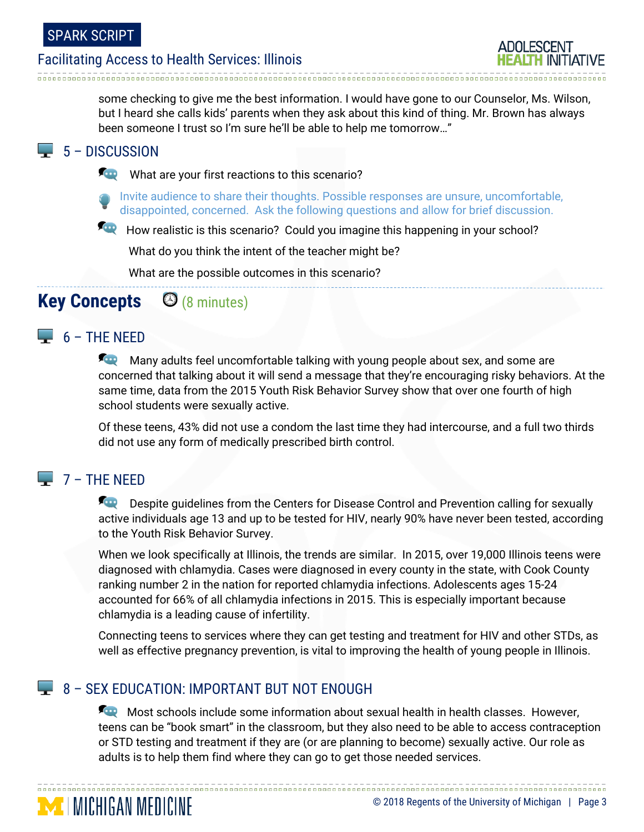some checking to give me the best information. I would have gone to our Counselor, Ms. Wilson, but I heard she calls kids' parents when they ask about this kind of thing. Mr. Brown has always been someone I trust so I'm sure he'll be able to help me tomorrow…"

### $\Box$  5 – DISCUSSION

What are your first reactions to this scenario?

Invite audience to share their thoughts. Possible responses are unsure, uncomfortable, disappointed, concerned. Ask the following questions and allow for brief discussion.

How realistic is this scenario? Could you imagine this happening in your school?

What do you think the intent of the teacher might be?

What are the possible outcomes in this scenario?

## **Key Concepts** (8 minutes)

## $\Box$  6 – THE NEED

**Many adults feel uncomfortable talking with young people about sex, and some are** concerned that talking about it will send a message that they're encouraging risky behaviors. At the same time, data from the 2015 Youth Risk Behavior Survey show that over one fourth of high school students were sexually active.

Of these teens, 43% did not use a condom the last time they had intercourse, and a full two thirds did not use any form of medically prescribed birth control.

### $7 - THE NFFD$

**MICHIGAN MEDICINE** 

**Despite guidelines from the Centers for Disease Control and Prevention calling for sexually** active individuals age 13 and up to be tested for HIV, nearly 90% have never been tested, according to the Youth Risk Behavior Survey.

When we look specifically at Illinois, the trends are similar. In 2015, over 19,000 Illinois teens were diagnosed with chlamydia. Cases were diagnosed in every county in the state, with Cook County ranking number 2 in the nation for reported chlamydia infections. Adolescents ages 15-24 accounted for 66% of all chlamydia infections in 2015. This is especially important because chlamydia is a leading cause of infertility.

Connecting teens to services where they can get testing and treatment for HIV and other STDs, as well as effective pregnancy prevention, is vital to improving the health of young people in Illinois.

### 8 – SEX EDUCATION: IMPORTANT BUT NOT ENOUGH

**We Most schools include some information about sexual health in health classes. However,** teens can be "book smart" in the classroom, but they also need to be able to access contraception or STD testing and treatment if they are (or are planning to become) sexually active. Our role as adults is to help them find where they can go to get those needed services.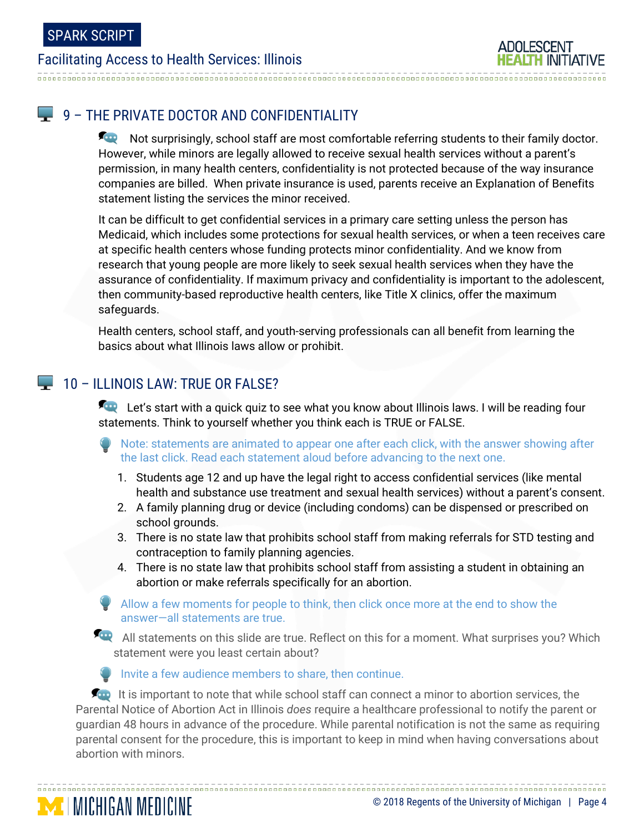## **9 - THE PRIVATE DOCTOR AND CONFIDENTIALITY**

Not surprisingly, school staff are most comfortable referring students to their family doctor. However, while minors are legally allowed to receive sexual health services without a parent's permission, in many health centers, confidentiality is not protected because of the way insurance companies are billed. When private insurance is used, parents receive an Explanation of Benefits statement listing the services the minor received.

It can be difficult to get confidential services in a primary care setting unless the person has Medicaid, which includes some protections for sexual health services, or when a teen receives care at specific health centers whose funding protects minor confidentiality. And we know from research that young people are more likely to seek sexual health services when they have the assurance of confidentiality. If maximum privacy and confidentiality is important to the adolescent, then community-based reproductive health centers, like Title X clinics, offer the maximum safeguards.

Health centers, school staff, and youth-serving professionals can all benefit from learning the basics about what Illinois laws allow or prohibit.

#### $\Box$  10 – ILLINOIS LAW: TRUE OR FALSE?

**MICHIGAN MEDICINE** 

Let's start with a quick quiz to see what you know about Illinois laws. I will be reading four statements. Think to yourself whether you think each is TRUE or FALSE.

- Note: statements are animated to appear one after each click, with the answer showing after the last click. Read each statement aloud before advancing to the next one.
	- 1. Students age 12 and up have the legal right to access confidential services (like mental health and substance use treatment and sexual health services) without a parent's consent.
	- 2. A family planning drug or device (including condoms) can be dispensed or prescribed on school grounds.
	- 3. There is no state law that prohibits school staff from making referrals for STD testing and contraception to family planning agencies.
	- 4. There is no state law that prohibits school staff from assisting a student in obtaining an abortion or make referrals specifically for an abortion.

Allow a few moments for people to think, then click once more at the end to show the answer—all statements are true.

All statements on this slide are true. Reflect on this for a moment. What surprises you? Which statement were you least certain about?

#### Invite a few audience members to share, then continue.

 $\sim$  It is important to note that while school staff can connect a minor to abortion services, the Parental Notice of Abortion Act in Illinois *does* require a healthcare professional to notify the parent or guardian 48 hours in advance of the procedure. While parental notification is not the same as requiring parental consent for the procedure, this is important to keep in mind when having conversations about abortion with minors.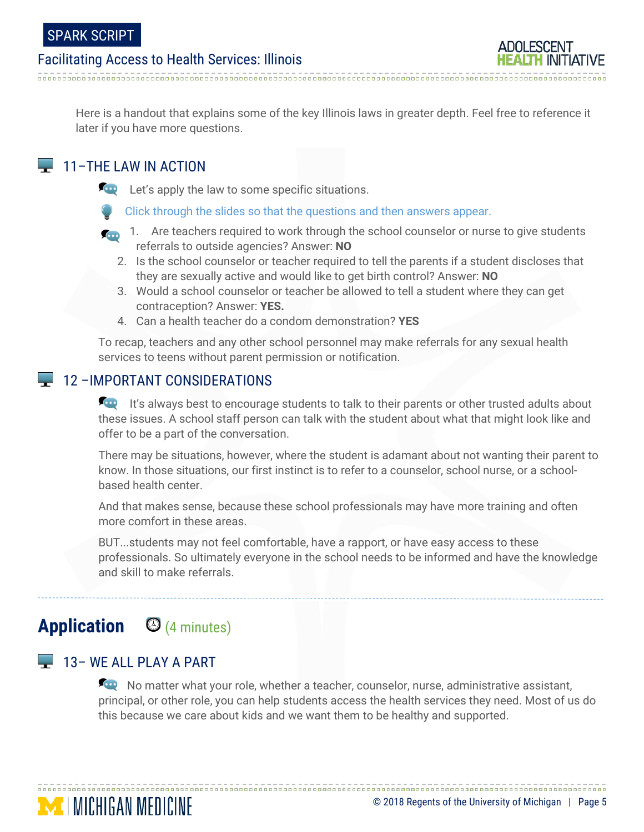Here is a handout that explains some of the key Illinois laws in greater depth. Feel free to reference it later if you have more questions.

#### $\Box$  11–THE LAW IN ACTION

**Let's apply the law to some specific situations.** 

Click through the slides so that the questions and then answers appear.

- **1.** Are teachers required to work through the school counselor or nurse to give students referrals to outside agencies? Answer: **NO**
	- 2. Is the school counselor or teacher required to tell the parents if a student discloses that they are sexually active and would like to get birth control? Answer: **NO**
	- 3. Would a school counselor or teacher be allowed to tell a student where they can get contraception? Answer: **YES.**
	- 4. Can a health teacher do a condom demonstration? **YES**

To recap, teachers and any other school personnel may make referrals for any sexual health services to teens without parent permission or notification.

#### 12 –IMPORTANT CONSIDERATIONS

It's always best to encourage students to talk to their parents or other trusted adults about these issues. A school staff person can talk with the student about what that might look like and offer to be a part of the conversation.

There may be situations, however, where the student is adamant about not wanting their parent to know. In those situations, our first instinct is to refer to a counselor, school nurse, or a schoolbased health center.

And that makes sense, because these school professionals may have more training and often more comfort in these areas.

BUT...students may not feel comfortable, have a rapport, or have easy access to these professionals. So ultimately everyone in the school needs to be informed and have the knowledge and skill to make referrals.

## **Application** (4 minutes)

#### $\Box$  13– WE ALL PLAY A PART

**MICHIGAN MEDICINE** 

No matter what your role, whether a teacher, counselor, nurse, administrative assistant, principal, or other role, you can help students access the health services they need. Most of us do this because we care about kids and we want them to be healthy and supported.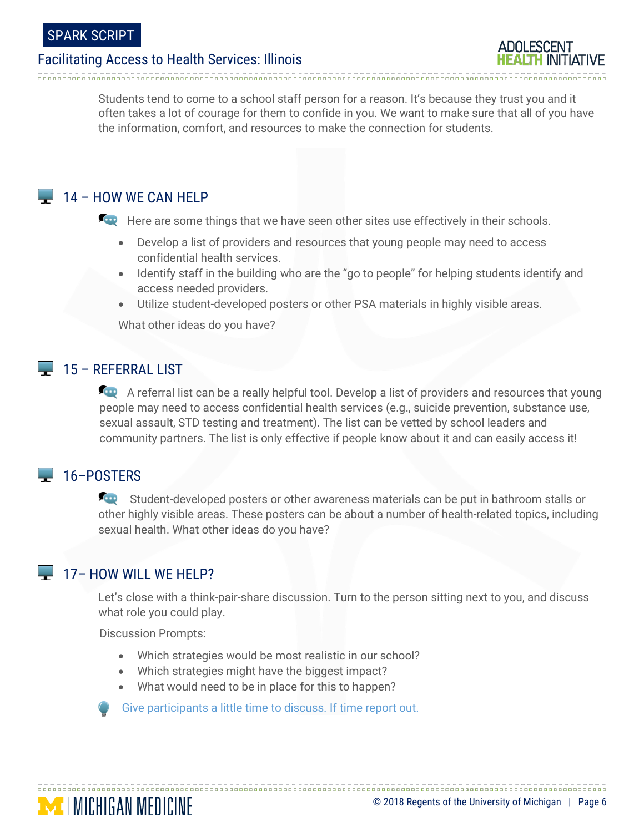Students tend to come to a school staff person for a reason. It's because they trust you and it often takes a lot of courage for them to confide in you. We want to make sure that all of you have the information, comfort, and resources to make the connection for students.

### $\Box$  14 – HOW WE CAN HELP

Here are some things that we have seen other sites use effectively in their schools.

- Develop a list of providers and resources that young people may need to access confidential health services.
- Identify staff in the building who are the "go to people" for helping students identify and access needed providers.
- Utilize student-developed posters or other PSA materials in highly visible areas.

What other ideas do you have?

#### $\Box$  15 – REFERRAL LIST

A referral list can be a really helpful tool. Develop a list of providers and resources that young people may need to access confidential health services (e.g., suicide prevention, substance use, sexual assault, STD testing and treatment). The list can be vetted by school leaders and community partners. The list is only effective if people know about it and can easily access it!

## <sup>16</sup>–POSTERS

Student-developed posters or other awareness materials can be put in bathroom stalls or other highly visible areas. These posters can be about a number of health-related topics, including sexual health. What other ideas do you have?

#### $\Box$  17– HOW WILL WE HELP?

**MICHIGAN MEDICINE** 

Let's close with a think-pair-share discussion. Turn to the person sitting next to you, and discuss what role you could play.

Discussion Prompts:

- Which strategies would be most realistic in our school?
- Which strategies might have the biggest impact?
- What would need to be in place for this to happen?